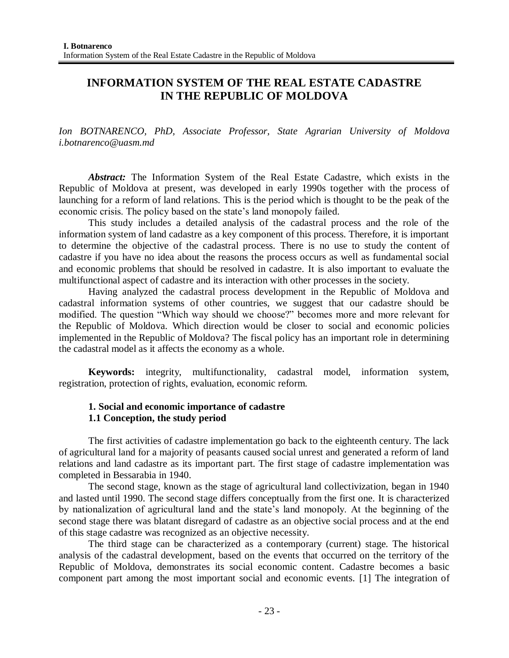# **INFORMATION SYSTEM OF THE REAL ESTATE CADASTRE IN THE REPUBLIC OF MOLDOVA**

*Ion BOTNARENCO, PhD, Associate Professor, State Agrarian University of Moldova i.botnarenco@uasm.md*

*Abstract:* The Information System of the Real Estate Cadastre, which exists in the Republic of Moldova at present, was developed in early 1990s together with the process of launching for a reform of land relations. This is the period which is thought to be the peak of the economic crisis. The policy based on the state's land monopoly failed.

This study includes a detailed analysis of the cadastral process and the role of the information system of land cadastre as a key component of this process. Therefore, it is important to determine the objective of the cadastral process. There is no use to study the content of cadastre if you have no idea about the reasons the process occurs as well as fundamental social and economic problems that should be resolved in cadastre. It is also important to evaluate the multifunctional aspect of cadastre and its interaction with other processes in the society.

Having analyzed the cadastral process development in the Republic of Moldova and cadastral information systems of other countries, we suggest that our cadastre should be modified. The question "Which way should we choose?" becomes more and more relevant for the Republic of Moldova. Which direction would be closer to social and economic policies implemented in the Republic of Moldova? The fiscal policy has an important role in determining the cadastral model as it affects the economy as a whole.

**Keywords:** integrity, multifunctionality, cadastral model, information system, registration, protection of rights, evaluation, economic reform.

# **1. Social and economic importance of cadastre 1.1 Conception, the study period**

The first activities of cadastre implementation go back to the eighteenth century. The lack of agricultural land for a majority of peasants caused social unrest and generated a reform of land relations and land cadastre as its important part. The first stage of cadastre implementation was completed in Bessarabia in 1940.

The second stage, known as the stage of agricultural land collectivization, began in 1940 and lasted until 1990. The second stage differs conceptually from the first one. It is characterized by nationalization of agricultural land and the state's land monopoly. At the beginning of the second stage there was blatant disregard of cadastre as an objective social process and at the end of this stage cadastre was recognized as an objective necessity.

The third stage can be characterized as a contemporary (current) stage. The historical analysis of the cadastral development, based on the events that occurred on the territory of the Republic of Moldova, demonstrates its social economic content. Cadastre becomes a basic component part among the most important social and economic events. [1] The integration of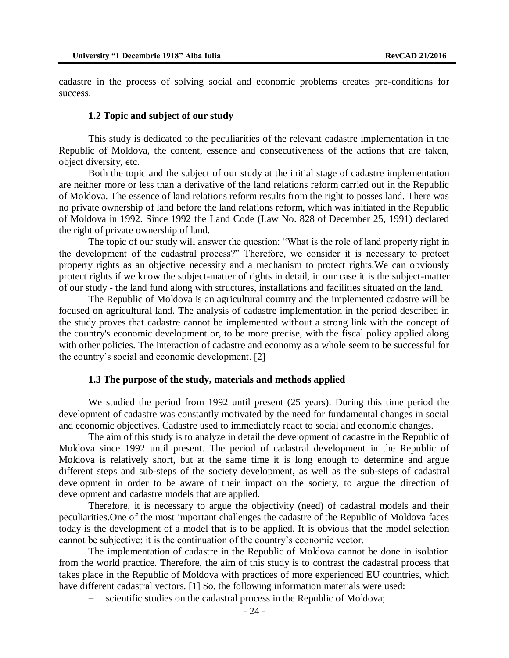cadastre in the process of solving social and economic problems creates pre-conditions for success.

#### **1.2 Topic and subject of our study**

This study is dedicated to the peculiarities of the relevant cadastre implementation in the Republic of Moldova, the content, essence and consecutiveness of the actions that are taken, object diversity, etc.

Both the topic and the subject of our study at the initial stage of cadastre implementation are neither more or less than a derivative of the land relations reform carried out in the Republic of Moldova. The essence of land relations reform results from the right to posses land. There was no private ownership of land before the land relations reform, which was initiated in the Republic of Moldova in 1992. Since 1992 the Land Code (Law No. 828 of December 25, 1991) declared the right of private ownership of land.

The topic of our study will answer the question: "What is the role of land property right in the development of the cadastral process?" Therefore, we consider it is necessary to protect property rights as an objective necessity and a mechanism to protect rights.We can obviously protect rights if we know the subject-matter of rights in detail, in our case it is the subject-matter of our study - the land fund along with structures, installations and facilities situated on the land.

The Republic of Moldova is an agricultural country and the implemented cadastre will be focused on agricultural land. The analysis of cadastre implementation in the period described in the study proves that cadastre cannot be implemented without a strong link with the concept of the country's economic development or, to be more precise, with the fiscal policy applied along with other policies. The interaction of cadastre and economy as a whole seem to be successful for the country's social and economic development. [2]

#### **1.3 The purpose of the study, materials and methods applied**

We studied the period from 1992 until present (25 years). During this time period the development of cadastre was constantly motivated by the need for fundamental changes in social and economic objectives. Cadastre used to immediately react to social and economic changes.

The aim of this study is to analyze in detail the development of cadastre in the Republic of Moldova since 1992 until present. The period of cadastral development in the Republic of Moldova is relatively short, but at the same time it is long enough to determine and argue different steps and sub-steps of the society development, as well as the sub-steps of cadastral development in order to be aware of their impact on the society, to argue the direction of development and cadastre models that are applied.

Therefore, it is necessary to argue the objectivity (need) of cadastral models and their peculiarities.One of the most important challenges the cadastre of the Republic of Moldova faces today is the development of a model that is to be applied. It is obvious that the model selection cannot be subjective; it is the continuation of the country's economic vector.

The implementation of cadastre in the Republic of Moldova cannot be done in isolation from the world practice. Therefore, the aim of this study is to contrast the cadastral process that takes place in the Republic of Moldova with practices of more experienced EU countries, which have different cadastral vectors. [1] So, the following information materials were used:

scientific studies on the cadastral process in the Republic of Moldova;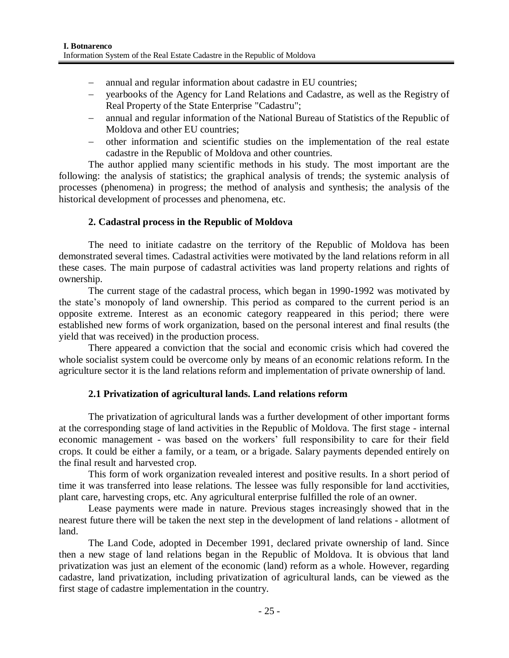- annual and regular information about cadastre in EU countries;
- yearbooks of the Agency for Land Relations and Cadastre, as well as the Registry of Real Property of the State Enterprise "Cadastru";
- annual and regular information of the National Bureau of Statistics of the Republic of Moldova and other EU countries;
- other information and scientific studies on the implementation of the real estate cadastre in the Republic of Moldova and other countries.

The author applied many scientific methods in his study. The most important are the following: the analysis of statistics; the graphical analysis of trends; the systemic analysis of processes (phenomena) in progress; the method of analysis and synthesis; the analysis of the historical development of processes and phenomena, etc.

# **2. Cadastral process in the Republic of Moldova**

The need to initiate cadastre on the territory of the Republic of Moldova has been demonstrated several times. Cadastral activities were motivated by the land relations reform in all these cases. The main purpose of cadastral activities was land property relations and rights of ownership.

The current stage of the cadastral process, which began in 1990-1992 was motivated by the state's monopoly of land ownership. This period as compared to the current period is an opposite extreme. Interest as an economic category reappeared in this period; there were established new forms of work organization, based on the personal interest and final results (the yield that was received) in the production process.

There appeared a conviction that the social and economic crisis which had covered the whole socialist system could be overcome only by means of an economic relations reform. In the agriculture sector it is the land relations reform and implementation of private ownership of land.

# **2.1 Privatization of agricultural lands. Land relations reform**

The privatization of agricultural lands was a further development of other important forms at the corresponding stage of land activities in the Republic of Moldova. The first stage - internal economic management - was based on the workers' full responsibility to care for their field crops. It could be either a family, or a team, or a brigade. Salary payments depended entirely on the final result and harvested crop.

This form of work organization revealed interest and positive results. In a short period of time it was transferred into lease relations. The lessee was fully responsible for land acctivities, plant care, harvesting crops, etc. Any agricultural enterprise fulfilled the role of an owner.

Lease payments were made in nature. Previous stages increasingly showed that in the nearest future there will be taken the next step in the development of land relations - allotment of land.

The Land Code, adopted in December 1991, declared private ownership of land. Since then a new stage of land relations began in the Republic of Moldova. It is obvious that land privatization was just an element of the economic (land) reform as a whole. However, regarding cadastre, land privatization, including privatization of agricultural lands, can be viewed as the first stage of cadastre implementation in the country.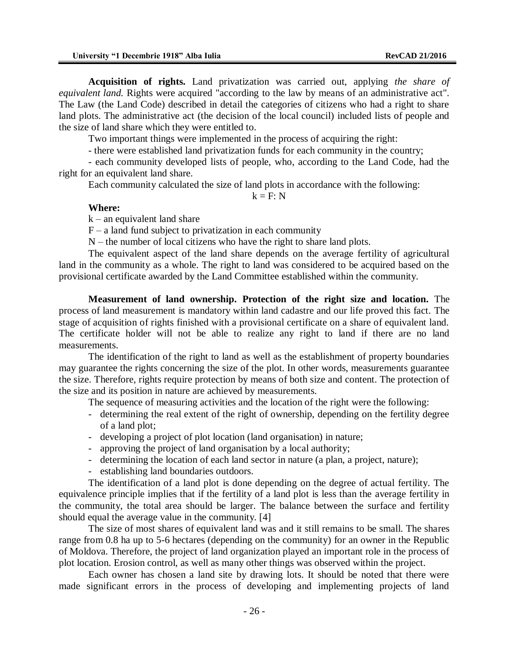**Acquisition of rights.** Land privatization was carried out, applying *the share of equivalent land.* Rights were acquired "according to the law by means of an administrative act". The Law (the Land Code) described in detail the categories of citizens who had a right to share land plots. The administrative act (the decision of the local council) included lists of people and the size of land share which they were entitled to.

Two important things were implemented in the process of acquiring the right:

- there were established land privatization funds for each community in the country;

- each community developed lists of people, who, according to the Land Code, had the right for an equivalent land share.

Each community calculated the size of land plots in accordance with the following:

$$
k = F: N
$$

#### **Where:**

 $k - an$  equivalent land share

 $F - a$  land fund subject to privatization in each community

N – the number of local citizens who have the right to share land plots.

The equivalent aspect of the land share depends on the average fertility of agricultural land in the community as a whole. The right to land was considered to be acquired based on the provisional certificate awarded by the Land Committee established within the community.

**Measurement of land ownership. Protection of the right size and location.** The process of land measurement is mandatory within land cadastre and our life proved this fact. The stage of acquisition of rights finished with a provisional certificate on a share of equivalent land. The certificate holder will not be able to realize any right to land if there are no land measurements.

The identification of the right to land as well as the establishment of property boundaries may guarantee the rights concerning the size of the plot. In other words, measurements guarantee the size. Therefore, rights require protection by means of both size and content. The protection of the size and its position in nature are achieved by measurements.

The sequence of measuring activities and the location of the right were the following:

- determining the real extent of the right of ownership, depending on the fertility degree of a land plot;
- developing a project of plot location (land organisation) in nature;
- approving the project of land organisation by a local authority;
- determining the location of each land sector in nature (a plan, a project, nature);
- establishing land boundaries outdoors.

The identification of a land plot is done depending on the degree of actual fertility. The equivalence principle implies that if the fertility of a land plot is less than the average fertility in the community, the total area should be larger. The balance between the surface and fertility should equal the average value in the community. [4]

The size of most shares of equivalent land was and it still remains to be small. The shares range from 0.8 ha up to 5-6 hectares (depending on the community) for an owner in the Republic of Moldova. Therefore, the project of land organization played an important role in the process of plot location. Erosion control, as well as many other things was observed within the project.

Each owner has chosen a land site by drawing lots. It should be noted that there were made significant errors in the process of developing and implementing projects of land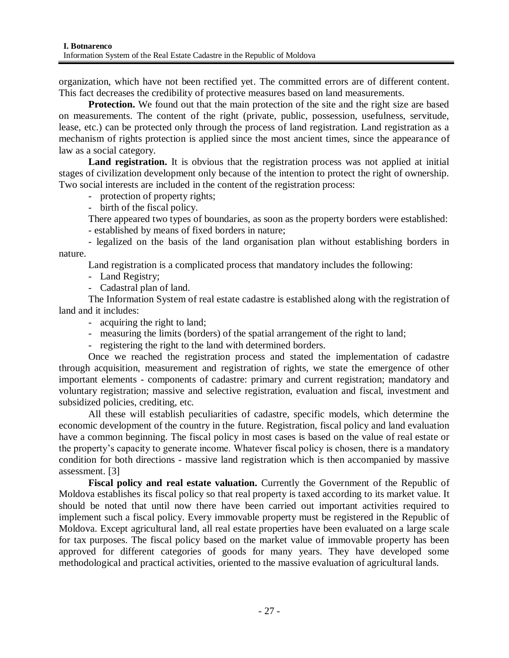organization, which have not been rectified yet. The committed errors are of different content. This fact decreases the credibility of protective measures based on land measurements.

**Protection.** We found out that the main protection of the site and the right size are based on measurements. The content of the right (private, public, possession, usefulness, servitude, lease, etc.) can be protected only through the process of land registration. Land registration as a mechanism of rights protection is applied since the most ancient times, since the appearance of law as a social category.

Land registration. It is obvious that the registration process was not applied at initial stages of civilization development only because of the intention to protect the right of ownership. Two social interests are included in the content of the registration process:

- protection of property rights;

- birth of the fiscal policy.

There appeared two types of boundaries, as soon as the property borders were established:

- established by means of fixed borders in nature;

- legalized on the basis of the land organisation plan without establishing borders in nature.

Land registration is a complicated process that mandatory includes the following:

- Land Registry;

- Cadastral plan of land.

The Information System of real estate cadastre is established along with the registration of land and it includes:

- acquiring the right to land;
- measuring the limits (borders) of the spatial arrangement of the right to land;

- registering the right to the land with determined borders.

Once we reached the registration process and stated the implementation of cadastre through acquisition, measurement and registration of rights, we state the emergence of other important elements - components of cadastre: primary and current registration; mandatory and voluntary registration; massive and selective registration, evaluation and fiscal, investment and subsidized policies, crediting, etc.

All these will establish peculiarities of cadastre, specific models, which determine the economic development of the country in the future. Registration, fiscal policy and land evaluation have a common beginning. The fiscal policy in most cases is based on the value of real estate or the property's capacity to generate income. Whatever fiscal policy is chosen, there is a mandatory condition for both directions - massive land registration which is then accompanied by massive assessment. [3]

**Fiscal policy and real estate valuation.** Currently the Government of the Republic of Moldova establishes its fiscal policy so that real property is taxed according to its market value. It should be noted that until now there have been carried out important activities required to implement such a fiscal policy. Every immovable property must be registered in the Republic of Moldova. Except agricultural land, all real estate properties have been evaluated on a large scale for tax purposes. The fiscal policy based on the market value of immovable property has been approved for different categories of goods for many years. They have developed some methodological and practical activities, oriented to the massive evaluation of agricultural lands.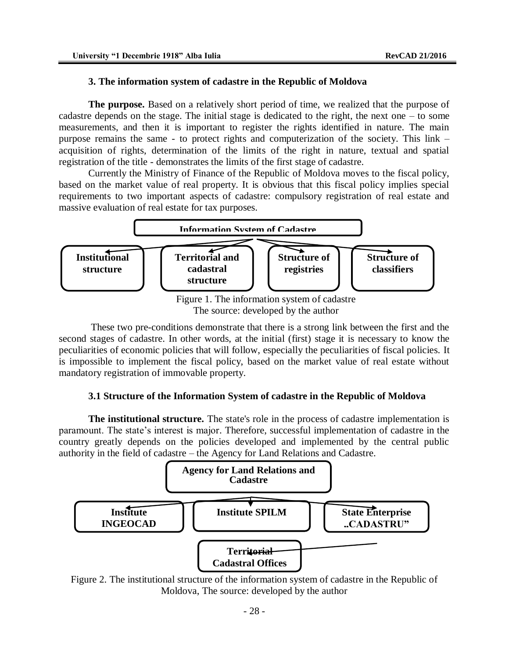### **3. The information system of cadastre in the Republic of Moldova**

**The purpose.** Based on a relatively short period of time, we realized that the purpose of cadastre depends on the stage. The initial stage is dedicated to the right, the next one – to some measurements, and then it is important to register the rights identified in nature. The main purpose remains the same - to protect rights and computerization of the society. This link – acquisition of rights, determination of the limits of the right in nature, textual and spatial registration of the title - demonstrates the limits of the first stage of cadastre.

Currently the Ministry of Finance of the Republic of Moldova moves to the fiscal policy, based on the market value of real property. It is obvious that this fiscal policy implies special requirements to two important aspects of cadastre: compulsory registration of real estate and massive evaluation of real estate for tax purposes.



The source: developed by the author

These two pre-conditions demonstrate that there is a strong link between the first and the second stages of cadastre. In other words, at the initial (first) stage it is necessary to know the peculiarities of economic policies that will follow, especially the peculiarities of fiscal policies. It is impossible to implement the fiscal policy, based on the market value of real estate without mandatory registration of immovable property.

# **3.1 Structure of the Information System of cadastre in the Republic of Moldova**

**The institutional structure.** The state's role in the process of cadastre implementation is paramount. The state's interest is major. Therefore, successful implementation of cadastre in the country greatly depends on the policies developed and implemented by the central public authority in the field of cadastre – the Agency for Land Relations and Cadastre.



Figure 2. The institutional structure of the information system of cadastre in the Republic of Moldova, The source: developed by the author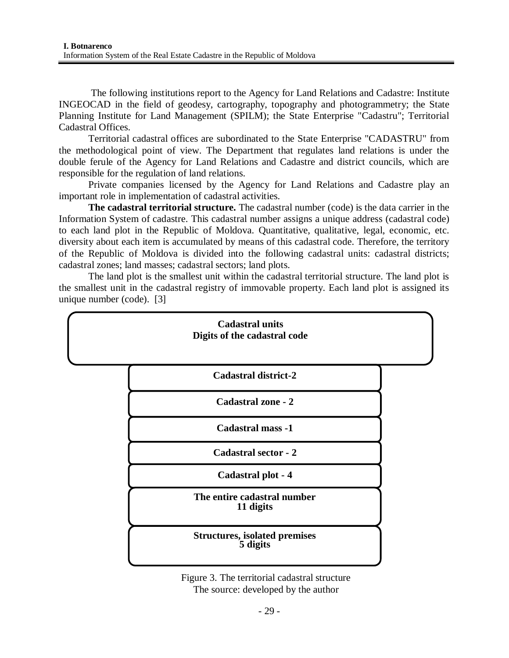The following institutions report to the Agency for Land Relations and Cadastre: Institute INGEOCAD in the field of geodesy, cartography, topography and photogrammetry; the State Planning Institute for Land Management (SPILM); the State Enterprise "Cadastru"; Territorial Cadastral Offices.

Territorial cadastral offices are subordinated to the State Enterprise "CADASTRU" from the methodological point of view. The Department that regulates land relations is under the double ferule of the Agency for Land Relations and Cadastre and district councils, which are responsible for the regulation of land relations.

Private companies licensed by the Agency for Land Relations and Cadastre play an important role in implementation of cadastral activities.

**The cadastral territorial structure.** The cadastral number (code) is the data carrier in the Information System of cadastre. This cadastral number assigns a unique address (cadastral code) to each land plot in the Republic of Moldova. Quantitative, qualitative, legal, economic, etc. diversity about each item is accumulated by means of this cadastral code. Therefore, the territory of the Republic of Moldova is divided into the following cadastral units: cadastral districts; cadastral zones; land masses; cadastral sectors; land plots.

The land plot is the smallest unit within the cadastral territorial structure. The land plot is the smallest unit in the cadastral registry of immovable property. Each land plot is assigned its unique number (code). [3]



Figure 3. The territorial cadastral structure The source: developed by the author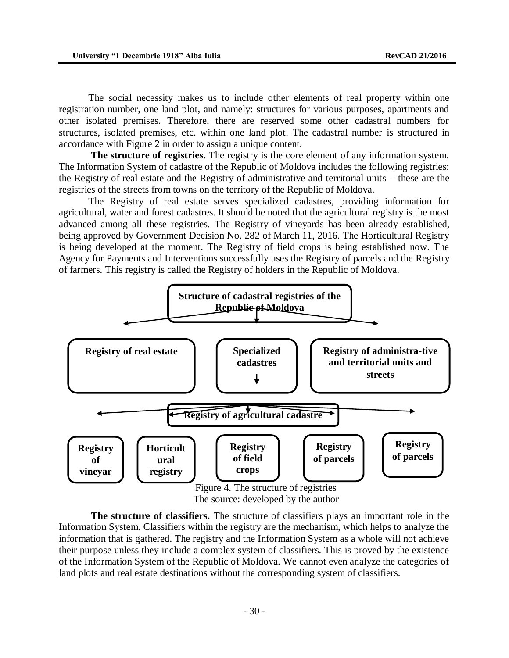The social necessity makes us to include other elements of real property within one registration number, one land plot, and namely: structures for various purposes, apartments and other isolated premises. Therefore, there are reserved some other cadastral numbers for structures, isolated premises, etc. within one land plot. The cadastral number is structured in accordance with Figure 2 in order to assign a unique content.

**The structure of registries.** The registry is the core element of any information system. The Information System of cadastre of the Republic of Moldova includes the following registries: the Registry of real estate and the Registry of administrative and territorial units – these are the registries of the streets from towns on the territory of the Republic of Moldova.

The Registry of real estate serves specialized cadastres, providing information for agricultural, water and forest cadastres. It should be noted that the agricultural registry is the most advanced among all these registries. The Registry of vineyards has been already established, being approved by Government Decision No. 282 of March 11, 2016. The Horticultural Registry is being developed at the moment. The Registry of field crops is being established now. The Agency for Payments and Interventions successfully uses the Registry of parcels and the Registry of farmers. This registry is called the Registry of holders in the Republic of Moldova.



**The structure of classifiers.** The structure of classifiers plays an important role in the Information System. Classifiers within the registry are the mechanism, which helps to analyze the information that is gathered. The registry and the Information System as a whole will not achieve their purpose unless they include a complex system of classifiers. This is proved by the existence of the Information System of the Republic of Moldova. We cannot even analyze the categories of land plots and real estate destinations without the corresponding system of classifiers.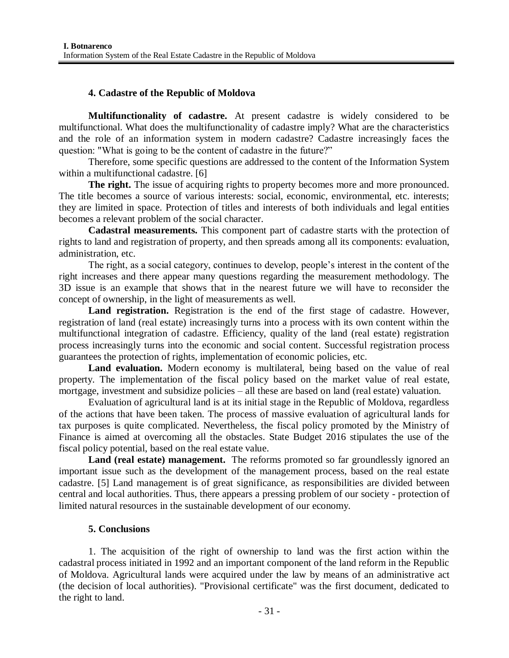# **4. Cadastre of the Republic of Moldova**

**Multifunctionality of cadastre.** At present cadastre is widely considered to be multifunctional. What does the multifunctionality of cadastre imply? What are the characteristics and the role of an information system in modern cadastre? Cadastre increasingly faces the question: "What is going to be the content of cadastre in the future?"

Therefore, some specific questions are addressed to the content of the Information System within a multifunctional cadastre. [6]

**The right.** The issue of acquiring rights to property becomes more and more pronounced. The title becomes a source of various interests: social, economic, environmental, etc. interests; they are limited in space. Protection of titles and interests of both individuals and legal entities becomes a relevant problem of the social character.

**Cadastral measurements.** This component part of cadastre starts with the protection of rights to land and registration of property, and then spreads among all its components: evaluation, administration, etc.

The right, as a social category, continues to develop, people's interest in the content of the right increases and there appear many questions regarding the measurement methodology. The 3D issue is an example that shows that in the nearest future we will have to reconsider the concept of ownership, in the light of measurements as well.

Land registration. Registration is the end of the first stage of cadastre. However, registration of land (real estate) increasingly turns into a process with its own content within the multifunctional integration of cadastre. Efficiency, quality of the land (real estate) registration process increasingly turns into the economic and social content. Successful registration process guarantees the protection of rights, implementation of economic policies, etc.

Land evaluation. Modern economy is multilateral, being based on the value of real property. The implementation of the fiscal policy based on the market value of real estate, mortgage, investment and subsidize policies – all these are based on land (real estate) valuation.

Evaluation of agricultural land is at its initial stage in the Republic of Moldova, regardless of the actions that have been taken. The process of massive evaluation of agricultural lands for tax purposes is quite complicated. Nevertheless, the fiscal policy promoted by the Ministry of Finance is aimed at overcoming all the obstacles. State Budget 2016 stipulates the use of the fiscal policy potential, based on the real estate value.

**Land (real estate) management.** The reforms promoted so far groundlessly ignored an important issue such as the development of the management process, based on the real estate cadastre. [5] Land management is of great significance, as responsibilities are divided between central and local authorities. Thus, there appears a pressing problem of our society - protection of limited natural resources in the sustainable development of our economy.

# **5. Conclusions**

1. The acquisition of the right of ownership to land was the first action within the cadastral process initiated in 1992 and an important component of the land reform in the Republic of Moldova. Agricultural lands were acquired under the law by means of an administrative act (the decision of local authorities). "Provisional certificate" was the first document, dedicated to the right to land.